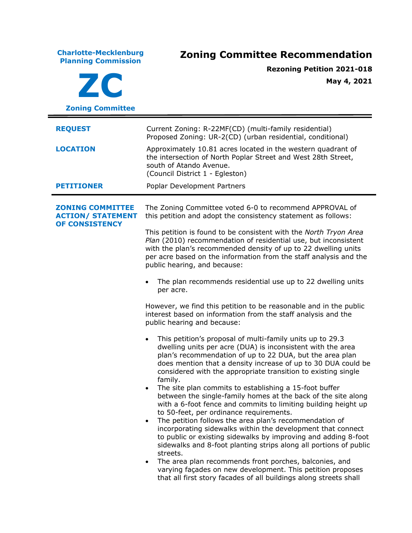**Charlotte-Mecklenburg Planning Commission Zoning Committee Recommendation ZC Zoning Committee Rezoning Petition 2021-018 May 4, 2021 REQUEST** Current Zoning: R-22MF(CD) (multi-family residential) Proposed Zoning: UR-2(CD) (urban residential, conditional) **LOCATION** Approximately 10.81 acres located in the western quadrant of the intersection of North Poplar Street and West 28th Street, south of Atando Avenue. (Council District 1 - Egleston) **PETITIONER** Poplar Development Partners **ZONING COMMITTEE ACTION/ STATEMENT OF CONSISTENCY** The Zoning Committee voted 6-0 to recommend APPROVAL of this petition and adopt the consistency statement as follows: This petition is found to be consistent with the *North Tryon Area Plan* (2010) recommendation of residential use, but inconsistent with the plan's recommended density of up to 22 dwelling units per acre based on the information from the staff analysis and the public hearing, and because: The plan recommends residential use up to 22 dwelling units per acre. However, we find this petition to be reasonable and in the public interest based on information from the staff analysis and the public hearing and because: • This petition's proposal of multi-family units up to 29.3 dwelling units per acre (DUA) is inconsistent with the area plan's recommendation of up to 22 DUA, but the area plan does mention that a density increase of up to 30 DUA could be considered with the appropriate transition to existing single family. • The site plan commits to establishing a 15-foot buffer between the single-family homes at the back of the site along with a 6-foot fence and commits to limiting building height up to 50-feet, per ordinance requirements. • The petition follows the area plan's recommendation of incorporating sidewalks within the development that connect to public or existing sidewalks by improving and adding 8-foot sidewalks and 8-foot planting strips along all portions of public streets. The area plan recommends front porches, balconies, and varying façades on new development. This petition proposes that all first story facades of all buildings along streets shall